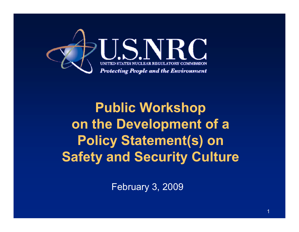

**Public Workshop on the Development of a Policy Statement(s) on Safety and Security Culture**

February 3, 2009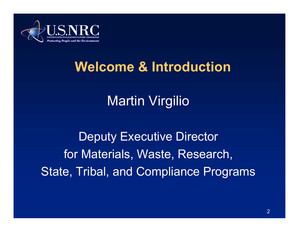

### **Welcome & Introduction**

# Martin Virgilio

Deputy Executive Director for Materials, Waste, Research, State, Tribal, and Compliance Programs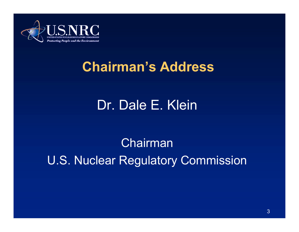

#### **Chairman's Address**

# Dr. Dale E. Klein

Chairman U.S. Nuclear Regulatory Commission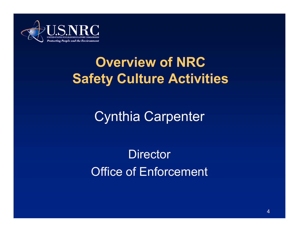

# **Overview of NRC Safety Culture Activities**

Cynthia Carpenter

**Director** Office of Enforcement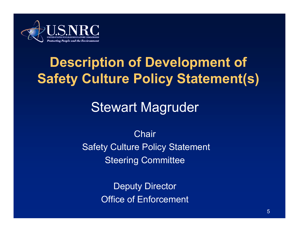

# **Description of Development of Safety Culture Policy Statement(s)**

# Stewart Magruder

**Chair** Safety Culture Policy Statement Steering Committee

> Deputy Director Office of Enforcement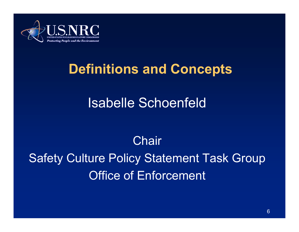

#### **Definitions and Concepts**

### Isabelle Schoenfeld

# **Chair**

Safety Culture Policy Statement Task Group Office of Enforcement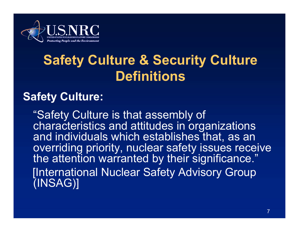

# **Safety Culture & Security Culture Definitions**

#### **Safety Culture:**

"Safety Culture is that assembly of Safety characteristics and attitudes in organizations and individuals which establishes that, as an overriding priority, nuclear safety issues receive the attention warranted by their significance." [International Nuclear Safety Advisory Group (INSAG)]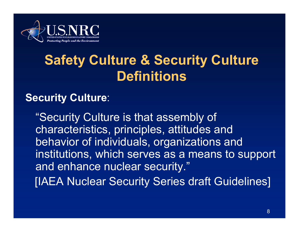

# **Safety Culture & Security Culture Definitions**

#### **Security Culture**:

"Security Culture is that assembly of characteristics, principles, attitudes and behavior of individuals, organizations and institutions, which serves as a means to support and enhance nuclear security."

[IAEA Nuclear Security Series draft Guidelines]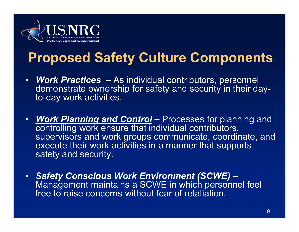

# **Proposed Safety Culture Components**

- • *Work Practices –* As individual contributors, personnel demonstrate ownership for safety and security in their dayto-day work activities.
- *Work Planning and Control* Processes for planning and  $\bullet$ controlling work ensure that individual contributors, supervisors and work groups communicate, coordinate, and execute their work activities in a manner that supports safety and security.
- $\bullet$  *Safety Conscious Work Environment (SCWE) –* Management maintains a SCWE in which personnel feel free to raise concerns without fear of retaliation.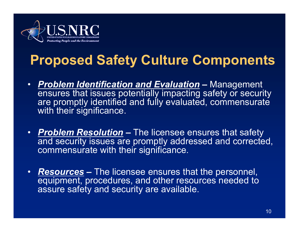

# **Proposed Safety Culture Components**

- • *Problem Identification and Evaluation –*– Management ensures that issues potentially impacting safety or security are promptly identified and fully evaluated, commensurate with their significance.
- *Problem Resolution –* $\overline{\phantom{a}}$  The licensee ensures that safety and security issues are promptly addressed and corrected, commensurate with their significance.
- *Resources –* $\hbox{\sf -}$  The licensee ensures that the personnel, equipment, procedures, and other resources needed to assure safety and security are available.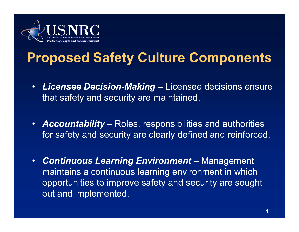

# **Proposed Safety Culture Components**

- $\bullet$  *Licensee Decision-Making –* Licensee decisions ensure that safety and security are maintained.
- $\bullet$  *Accountability* – Roles, responsibilities and authorities for safety and security are clearly defined and reinforced.
- • *Continuous Learning Environment –*– Management maintains a continuous learning environment in which opportunities to improve safety and security are sought out and implemented.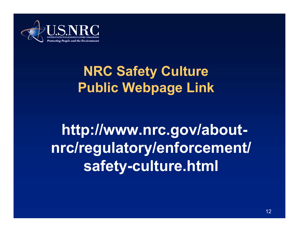

# **NRC Safety Culture Public Webpage Link**

# **http://www.nrc.gov/aboutnrc/regulatory/enforcement/ safety-culture.html**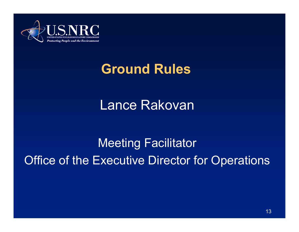

#### **Ground Rules**

#### Lance Rakovan

Meeting Facilitator Office of the Executive Director for Operations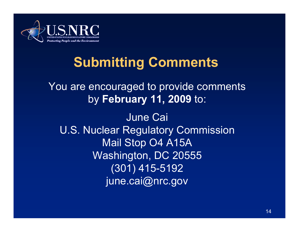

# **Submitting Comments**

You are encouraged to provide comments by **February 11, 2009** to:

June Cai U.S. Nuclear Regulatory Commission Mail Stop O4 A15A Washington, DC 20555 (301) 415-5192 june.cai@nrc.gov